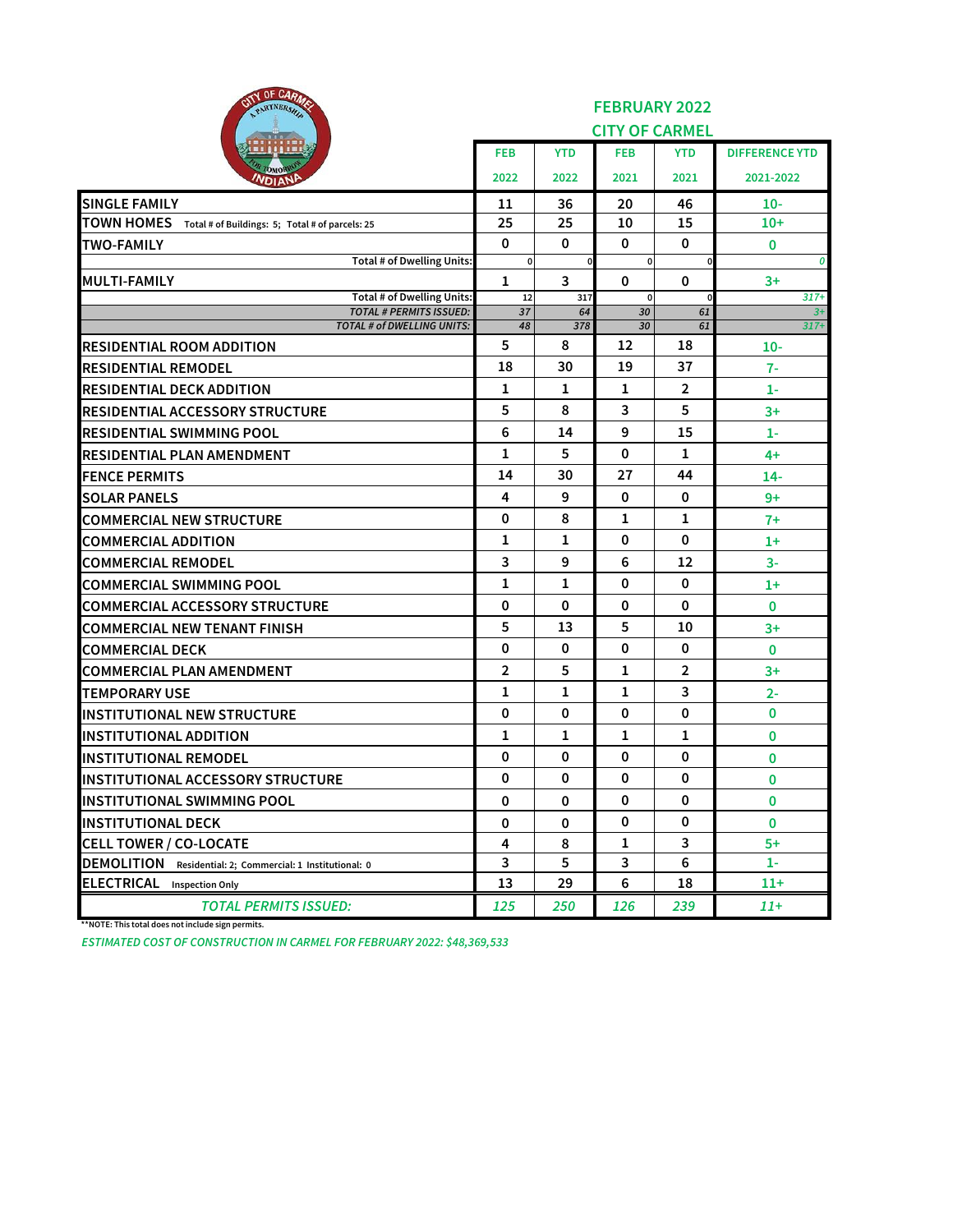| <b>UF UNITIATE</b><br>ell<br>PARTNERSHIP                            | <b>FEBRUARY 2022</b>  |              |                |             |                       |  |  |  |
|---------------------------------------------------------------------|-----------------------|--------------|----------------|-------------|-----------------------|--|--|--|
|                                                                     | <b>CITY OF CARMEL</b> |              |                |             |                       |  |  |  |
|                                                                     | <b>FEB</b>            | <b>YTD</b>   | <b>FEB</b>     | <b>YTD</b>  | <b>DIFFERENCE YTD</b> |  |  |  |
| OMOR<br><b>NDIANP</b>                                               | 2022                  | 2022         | 2021           | 2021        | 2021-2022             |  |  |  |
| <b>SINGLE FAMILY</b>                                                | 11                    | 36           | 20             | 46          | $10-$                 |  |  |  |
| TOWN HOMES Total # of Buildings: 5; Total # of parcels: 25          | 25                    | 25           | 10             | 15          | $10+$                 |  |  |  |
| <b>TWO-FAMILY</b>                                                   | $\mathbf 0$           | 0            | 0              | 0           | 0                     |  |  |  |
| Total # of Dwelling Units:                                          | $\pmb{0}$             | 0            | 0              |             | 0                     |  |  |  |
| <b>MULTI-FAMILY</b>                                                 | 1                     | 3            | 0              | 0           | $3+$                  |  |  |  |
| <b>Total # of Dwelling Units:</b><br><b>TOTAL # PERMITS ISSUED:</b> | 12<br>37              | 317<br>64    | $\Omega$<br>30 | 61          | $317+$<br>$3+$        |  |  |  |
| TOTAL # of DWELLING UNITS:                                          | 48                    | 378          | 30             | 61          | $317+$                |  |  |  |
| <b>RESIDENTIAL ROOM ADDITION</b>                                    | 5                     | 8            | 12             | 18          | $10-$                 |  |  |  |
| <b>RESIDENTIAL REMODEL</b>                                          | 18                    | 30           | 19             | 37          | $7-$                  |  |  |  |
| IRESIDENTIAL DECK ADDITION                                          | 1                     | 1            | 1              | 2           | 1-                    |  |  |  |
| <b>RESIDENTIAL ACCESSORY STRUCTURE</b>                              | 5                     | 8            | 3              | 5           | $3+$                  |  |  |  |
| IRESIDENTIAL SWIMMING POOL                                          | 6                     | 14           | 9              | 15          | $1-$                  |  |  |  |
| IRESIDENTIAL PLAN AMENDMENT                                         | 1                     | 5            | 0              | 1           | 4+                    |  |  |  |
| <b>IFENCE PERMITS</b>                                               | 14                    | 30           | 27             | 44          | $14-$                 |  |  |  |
| <b>ISOLAR PANELS</b>                                                | 4                     | 9            | 0              | 0           | 9+                    |  |  |  |
| <b>COMMERCIAL NEW STRUCTURE</b>                                     | 0                     | 8            | 1              | 1           | $7+$                  |  |  |  |
| <b>COMMERCIAL ADDITION</b>                                          | 1                     | 1            | 0              | 0           | $1+$                  |  |  |  |
| <b>COMMERCIAL REMODEL</b>                                           | 3                     | 9            | 6              | 12          | $3-$                  |  |  |  |
| <b>COMMERCIAL SWIMMING POOL</b>                                     | 1                     | $\mathbf{1}$ | 0              | $\mathbf 0$ | $1+$                  |  |  |  |
| <b>COMMERCIAL ACCESSORY STRUCTURE</b>                               | $\mathbf 0$           | 0            | 0              | 0           | 0                     |  |  |  |
| <b>COMMERCIAL NEW TENANT FINISH</b>                                 | 5                     | 13           | 5              | 10          | $3+$                  |  |  |  |
| <b>COMMERCIAL DECK</b>                                              | 0                     | 0            | 0              | 0           | $\mathbf{0}$          |  |  |  |
| <b>COMMERCIAL PLAN AMENDMENT</b>                                    | $\overline{2}$        | 5            | 1              | 2           | $3+$                  |  |  |  |
| <b>ITEMPORARY USE</b>                                               | 1                     | 1            | 1              | 3           | $2 -$                 |  |  |  |
| <b>INSTITUTIONAL NEW STRUCTURE</b>                                  | 0                     | 0            | 0              | 0           | 0                     |  |  |  |
| <b>INSTITUTIONAL ADDITION</b>                                       | 1                     | 1            | 1              | 1           | 0                     |  |  |  |
| <b>INSTITUTIONAL REMODEL</b>                                        | $\mathbf 0$           | 0            | 0              | 0           | 0                     |  |  |  |
| IINSTITUTIONAL ACCESSORY STRUCTURE                                  | 0                     | 0            | 0              | 0           | 0                     |  |  |  |
| <b>INSTITUTIONAL SWIMMING POOL</b>                                  | 0                     | 0            | 0              | 0           | 0                     |  |  |  |
| <b>INSTITUTIONAL DECK</b>                                           | 0                     | 0            | 0              | $\mathbf 0$ | $\mathbf{0}$          |  |  |  |
| <b>CELL TOWER / CO-LOCATE</b>                                       | 4                     | 8            | 1              | 3           | $5+$                  |  |  |  |
| <b>DEMOLITION</b><br>Residential: 2; Commercial: 1 Institutional: 0 | 3                     | 5            | 3              | 6           | $1-$                  |  |  |  |
| <b>ELECTRICAL</b><br><b>Inspection Only</b>                         | 13                    | 29           | 6              | 18          | $11+$                 |  |  |  |
| <b>TOTAL PERMITS ISSUED:</b>                                        | 125                   | 250          | 126            | 239         | 11+                   |  |  |  |

**\*\*NOTE: This total does not include sign permits.**

*ESTIMATED COST OF CONSTRUCTION IN CARMEL FOR FEBRUARY 2022: \$48,369,533*

 $250$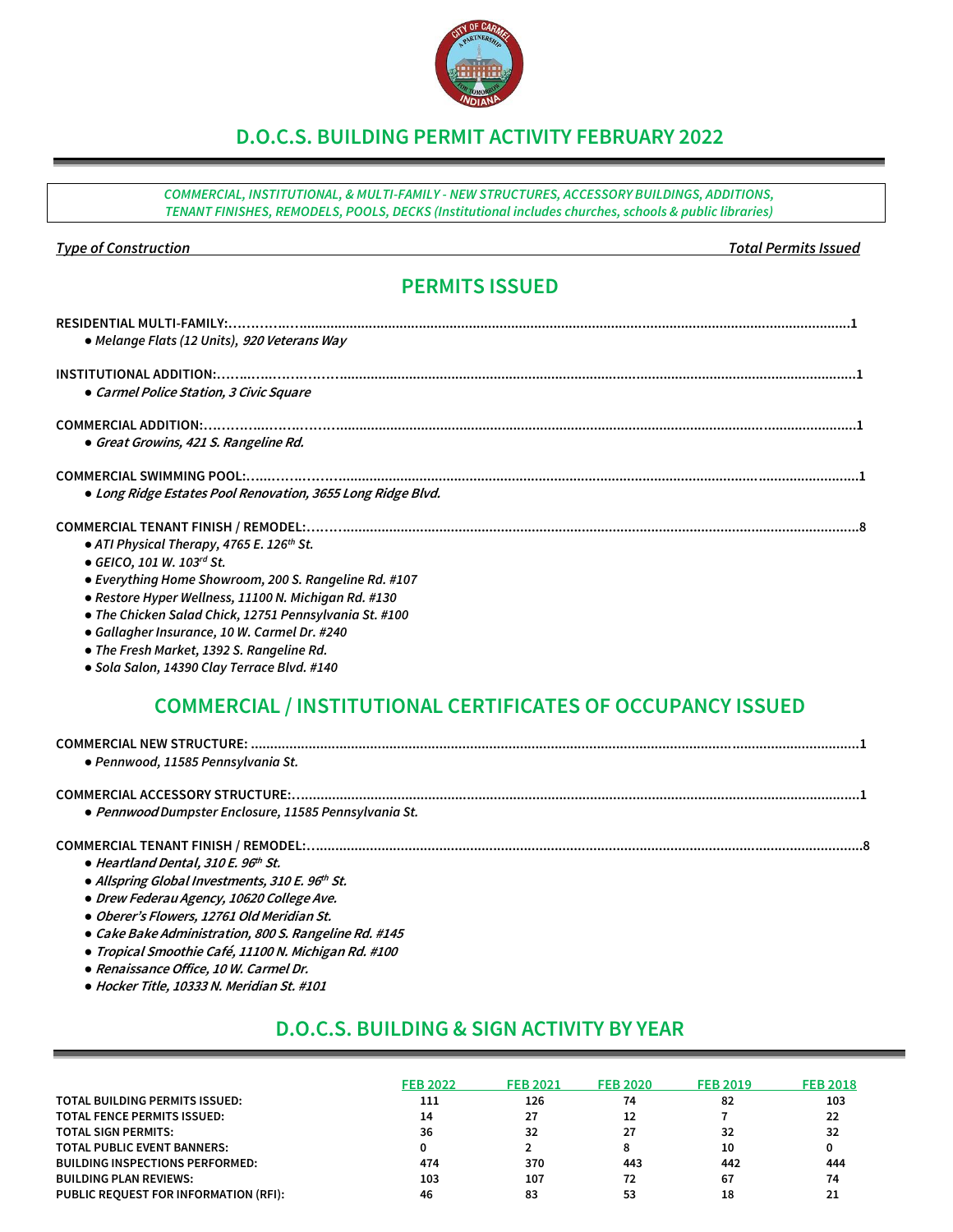## **D.O.C.S. BUILDING PERMIT ACTIVITY FEBRUARY 2022**

*COMMERCIAL, INSTITUTIONAL, & MULTI-FAMILY - NEW STRUCTURES, ACCESSORY BUILDINGS, ADDITIONS, TENANT FINISHES, REMODELS, POOLS, DECKS (Institutional includes churches, schools & public libraries)*

#### *Type of Construction Total Permits Issued*

## **PERMITS ISSUED**

| • Melange Flats (12 Units), 920 Veterans Way                |
|-------------------------------------------------------------|
|                                                             |
| • Carmel Police Station, 3 Civic Square                     |
|                                                             |
| • Great Growins, 421 S. Rangeline Rd.                       |
|                                                             |
| • Long Ridge Estates Pool Renovation, 3655 Long Ridge Blvd. |
|                                                             |
| • ATI Physical Therapy, 4765 E. 126 <sup>th</sup> St.       |
| • GEICO, 101 W. 103rd St.                                   |
| • Everything Home Showroom, 200 S. Rangeline Rd. #107       |
| • Restore Hyper Wellness, 11100 N. Michigan Rd. #130        |
| • The Chicken Salad Chick, 12751 Pennsylvania St. #100      |
| • Gallagher Insurance, 10 W. Carmel Dr. #240                |

- *● The Fresh Market, 1392 S. Rangeline Rd.*
- *● Sola Salon, 14390 Clay Terrace Blvd. #140*

## **COMMERCIAL / INSTITUTIONAL CERTIFICATES OF OCCUPANCY ISSUED**

| • Pennwood, 11585 Pennsylvania St.                    |  |
|-------------------------------------------------------|--|
| • Pennwood Dumpster Enclosure, 11585 Pennsylvania St. |  |
|                                                       |  |

- *●* **Heartland Dental, 310 E. 96 th St.**
- *●* **Allspring Global Investments, 310 E. 96 th St.**
- *●* **Drew Federau Agency, 10620 College Ave.**
- *●* **Oberer's Flowers, 12761 Old Meridian St.**
- *●* **Cake Bake Administration, 800 S. Rangeline Rd. #145**
- *●* **Tropical Smoothie Café, 11100 N. Michigan Rd. #100**
- *●* **Renaissance Office, 10 W. Carmel Dr.**
- *●* **Hocker Title, 10333 N. Meridian St. #101**

## **D.O.C.S. BUILDING & SIGN ACTIVITY BY YEAR**

|                                        | <b>FEB 2022</b> | <b>FEB 2021</b> | <b>FEB 2020</b> | <b>FEB 2019</b> | <b>FEB 2018</b> |
|----------------------------------------|-----------------|-----------------|-----------------|-----------------|-----------------|
| TOTAL BUILDING PERMITS ISSUED:         | 111             | 126             | 74              | 82              | 103             |
| <b>TOTAL FENCE PERMITS ISSUED:</b>     | 14              | 27              | 12              |                 | 22              |
| <b>TOTAL SIGN PERMITS:</b>             | 36              | 32              | 27              | 32              | 32              |
| <b>TOTAL PUBLIC EVENT BANNERS:</b>     |                 |                 |                 | 10              |                 |
| <b>BUILDING INSPECTIONS PERFORMED:</b> | 474             | 370             | 443             | 442             | 444             |
| <b>BUILDING PLAN REVIEWS:</b>          | 103             | 107             | 72              | 67              | 74              |
| PUBLIC REOUEST FOR INFORMATION (RFI):  | 46              | 83              | 53              | 18              |                 |

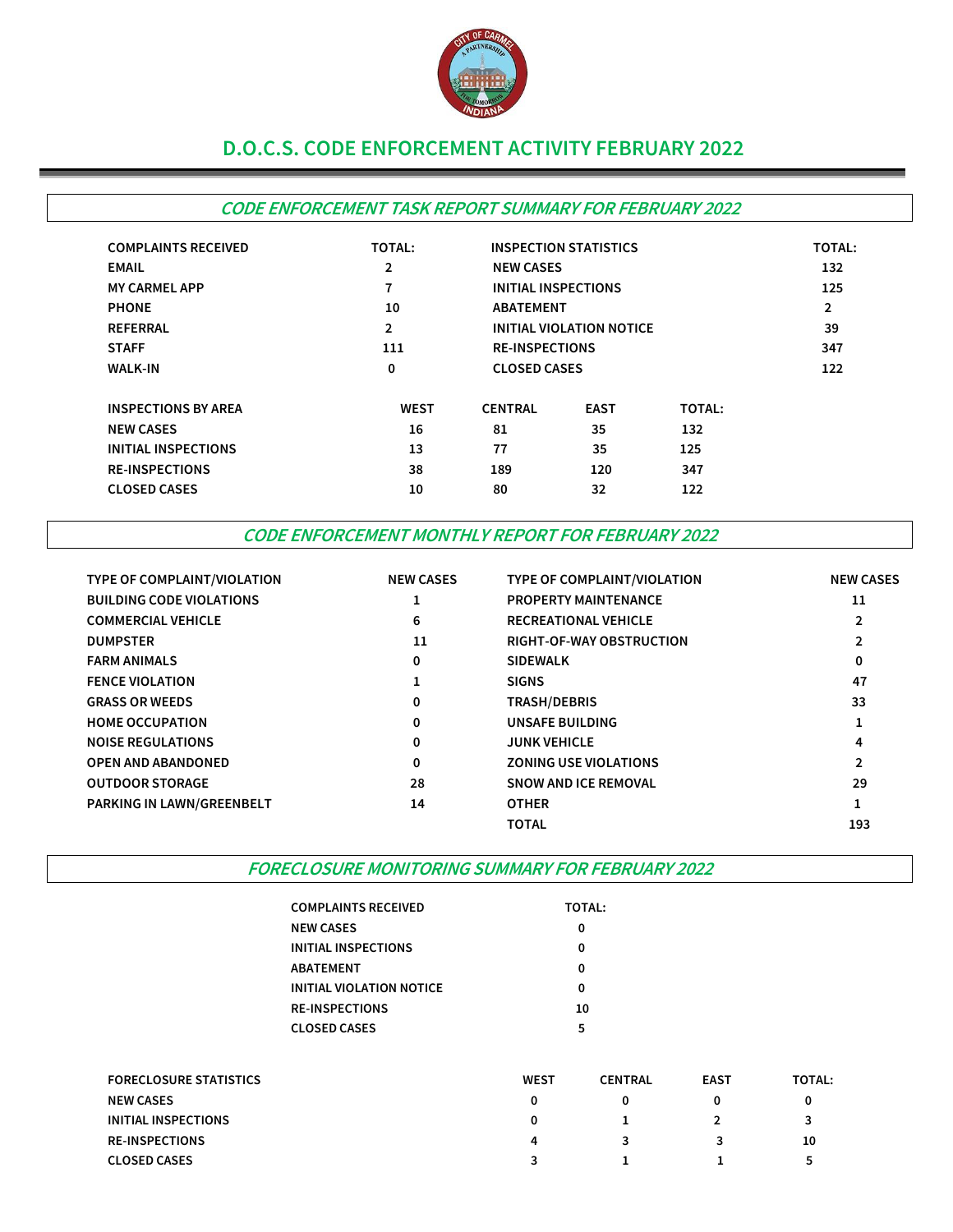

## **D.O.C.S. CODE ENFORCEMENT ACTIVITY FEBRUARY 2022**

## **CODE ENFORCEMENT TASK REPORT SUMMARY FOR FEBRUARY 2022**

| <b>COMPLAINTS RECEIVED</b> | <b>TOTAL:</b>  |                                 | <b>INSPECTION STATISTICS</b> |               | <b>TOTAL:</b>  |
|----------------------------|----------------|---------------------------------|------------------------------|---------------|----------------|
| <b>EMAIL</b>               | $\overline{2}$ |                                 | <b>NEW CASES</b>             |               |                |
| <b>MY CARMEL APP</b>       | 7              |                                 | INITIAL INSPECTIONS          |               |                |
| <b>PHONE</b>               | 10             | <b>ABATEMENT</b>                |                              |               | $\overline{2}$ |
| <b>REFERRAL</b>            | $\overline{2}$ | <b>INITIAL VIOLATION NOTICE</b> |                              |               | 39             |
| <b>STAFF</b>               | 111            |                                 | <b>RE-INSPECTIONS</b>        |               |                |
| <b>WALK-IN</b>             | 0              |                                 | <b>CLOSED CASES</b>          |               |                |
| <b>INSPECTIONS BY AREA</b> | <b>WEST</b>    | <b>CENTRAL</b>                  | <b>EAST</b>                  | <b>TOTAL:</b> |                |
| <b>NEW CASES</b>           | 16             | 81                              | 35                           | 132           |                |
| <b>INITIAL INSPECTIONS</b> | 13             | 77                              | 35                           | 125           |                |
| <b>RE-INSPECTIONS</b>      | 38             | 189                             | 120                          | 347           |                |
| <b>CLOSED CASES</b>        | 10             | 80                              | 32                           | 122           |                |

### **CODE ENFORCEMENT MONTHLY REPORT FOR FEBRUARY 2022**

| <b>TYPE OF COMPLAINT/VIOLATION</b> | <b>NEW CASES</b> | TYPE OF COMPLAINT/VIOLATION     | <b>NEW CASES</b> |
|------------------------------------|------------------|---------------------------------|------------------|
| <b>BUILDING CODE VIOLATIONS</b>    |                  | <b>PROPERTY MAINTENANCE</b>     | 11               |
| <b>COMMERCIAL VEHICLE</b>          | 6                | <b>RECREATIONAL VEHICLE</b>     | $\overline{2}$   |
| <b>DUMPSTER</b>                    | 11               | <b>RIGHT-OF-WAY OBSTRUCTION</b> | $\overline{2}$   |
| <b>FARM ANIMALS</b>                | 0                | <b>SIDEWALK</b>                 | 0                |
| <b>FENCE VIOLATION</b>             |                  | <b>SIGNS</b>                    | 47               |
| <b>GRASS OR WEEDS</b>              | 0                | <b>TRASH/DEBRIS</b>             | 33               |
| <b>HOME OCCUPATION</b>             | 0                | UNSAFE BUILDING                 | щ                |
| <b>NOISE REGULATIONS</b>           | 0                | <b>JUNK VEHICLE</b>             | 4                |
| <b>OPEN AND ABANDONED</b>          | 0                | <b>ZONING USE VIOLATIONS</b>    | $\overline{2}$   |
| <b>OUTDOOR STORAGE</b>             | 28               | <b>SNOW AND ICE REMOVAL</b>     | 29               |
| PARKING IN LAWN/GREENBELT          | 14               | <b>OTHER</b>                    | 1                |
|                                    |                  | <b>TOTAL</b>                    | 193              |

#### **FORECLOSURE MONITORING SUMMARY FOR FEBRUARY 2022**

| <b>COMPLAINTS RECEIVED</b> | <b>TOTAL:</b> |
|----------------------------|---------------|
| <b>NEW CASES</b>           | Ω             |
| INITIAL INSPECTIONS        | Ω             |
| ABATEMENT                  | Ω             |
| INITIAL VIOLATION NOTICE   | Ω             |
| <b>RE-INSPECTIONS</b>      | 10            |
| <b>CLOSED CASES</b>        | 5             |
|                            |               |

| <b>FORECLOSURE STATISTICS</b> | <b>WEST</b> | <b>CENTRAL</b> | <b>EAST</b> | <b>TOTAL:</b> |
|-------------------------------|-------------|----------------|-------------|---------------|
| <b>NEW CASES</b>              |             |                |             |               |
| INITIAL INSPECTIONS           |             |                |             |               |
| <b>RE-INSPECTIONS</b>         | 4           |                |             | 10            |
| <b>CLOSED CASES</b>           |             |                |             | ∽             |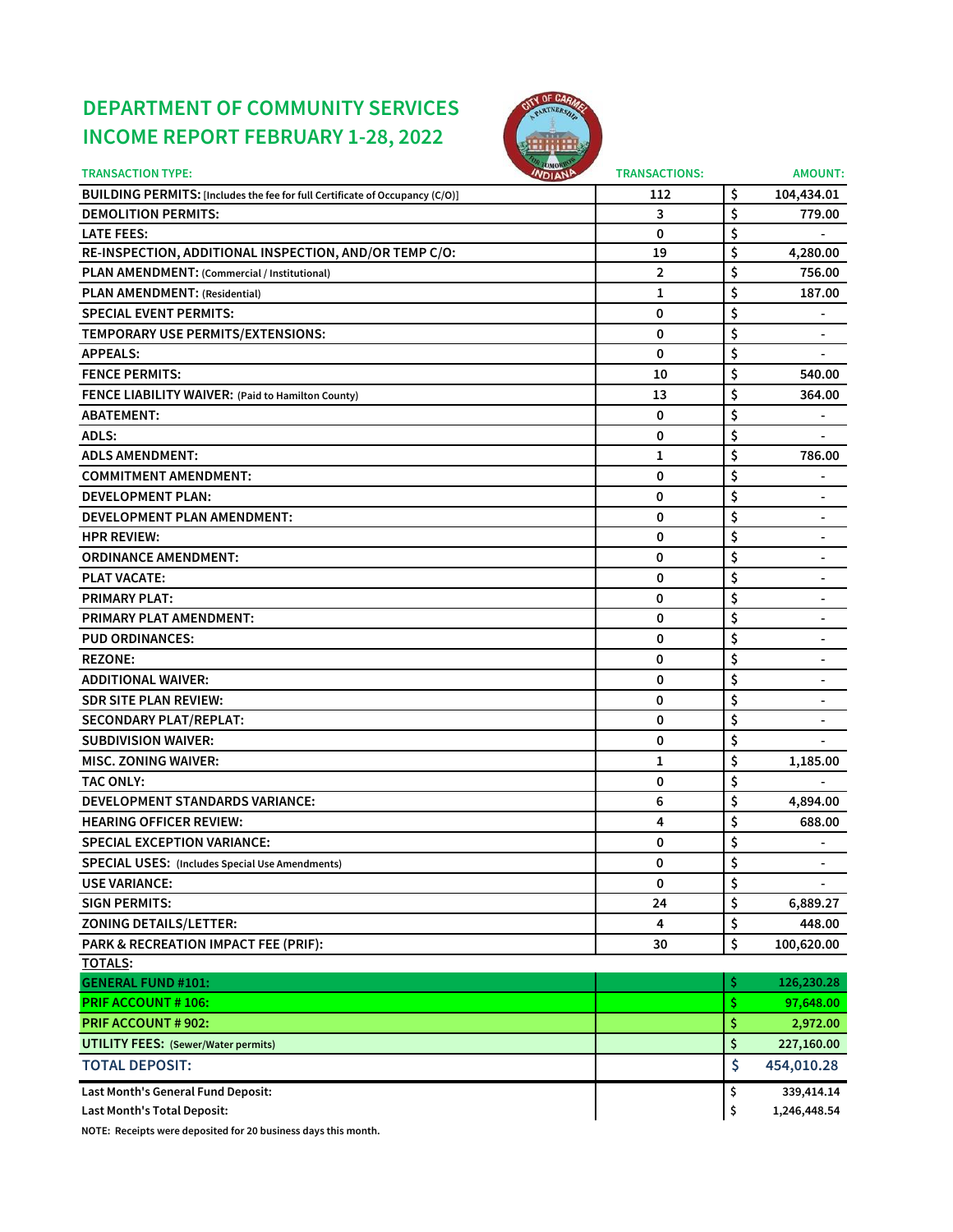# **DEPARTMENT OF COMMUNITY SERVICES INCOME REPORT FEBRUARY 1-28, 2022**



| <b>TRANSACTION TYPE:</b>                                                     | <b>INDIANA</b> | <b>TRANSACTIONS:</b> |     | <b>AMOUNT:</b>           |
|------------------------------------------------------------------------------|----------------|----------------------|-----|--------------------------|
| BUILDING PERMITS: [Includes the fee for full Certificate of Occupancy (C/O)] |                | 112                  | \$  | 104,434.01               |
| <b>DEMOLITION PERMITS:</b>                                                   |                | 3                    | \$  | 779.00                   |
| <b>LATE FEES:</b>                                                            |                | 0                    | \$  |                          |
| RE-INSPECTION, ADDITIONAL INSPECTION, AND/OR TEMP C/O:                       |                | 19                   | \$  | 4,280.00                 |
| PLAN AMENDMENT: (Commercial / Institutional)                                 |                | 2                    | \$  | 756.00                   |
| PLAN AMENDMENT: (Residential)                                                |                | 1                    | \$  | 187.00                   |
| <b>SPECIAL EVENT PERMITS:</b>                                                |                | 0                    | \$  | $\blacksquare$           |
| TEMPORARY USE PERMITS/EXTENSIONS:                                            |                | 0                    | \$  |                          |
| <b>APPEALS:</b>                                                              |                | 0                    | \$  | $\overline{\phantom{a}}$ |
| <b>FENCE PERMITS:</b>                                                        |                | 10                   | \$  | 540.00                   |
| FENCE LIABILITY WAIVER: (Paid to Hamilton County)                            |                | 13                   | \$  | 364.00                   |
| <b>ABATEMENT:</b>                                                            |                | 0                    | \$  |                          |
| ADLS:                                                                        |                | 0                    | \$  |                          |
| <b>ADLS AMENDMENT:</b>                                                       |                | 1                    | \$  | 786.00                   |
| <b>COMMITMENT AMENDMENT:</b>                                                 |                | 0                    | \$  |                          |
| <b>DEVELOPMENT PLAN:</b>                                                     |                | 0                    | \$  |                          |
| DEVELOPMENT PLAN AMENDMENT:                                                  |                | 0                    | \$  |                          |
| <b>HPR REVIEW:</b>                                                           |                | 0                    | \$  | $\overline{\phantom{a}}$ |
| <b>ORDINANCE AMENDMENT:</b>                                                  |                | 0                    | \$  | $\blacksquare$           |
| <b>PLAT VACATE:</b>                                                          |                | 0                    | \$  | $\blacksquare$           |
| <b>PRIMARY PLAT:</b>                                                         |                | 0                    | \$  |                          |
| <b>PRIMARY PLAT AMENDMENT:</b>                                               |                | 0                    | \$  |                          |
| <b>PUD ORDINANCES:</b>                                                       |                | 0                    | \$  |                          |
| <b>REZONE:</b>                                                               |                | 0                    | \$  |                          |
| <b>ADDITIONAL WAIVER:</b>                                                    |                | 0                    | \$  | $\blacksquare$           |
| <b>SDR SITE PLAN REVIEW:</b>                                                 |                | 0                    | \$  |                          |
| <b>SECONDARY PLAT/REPLAT:</b>                                                |                | 0                    | \$  |                          |
| <b>SUBDIVISION WAIVER:</b>                                                   |                | 0                    | \$  |                          |
| <b>MISC. ZONING WAIVER:</b>                                                  |                | 1                    | \$  | 1,185.00                 |
| <b>TAC ONLY:</b>                                                             |                | 0                    | \$  |                          |
| DEVELOPMENT STANDARDS VARIANCE:                                              |                | 6                    | \$  | 4,894.00                 |
| <b>HEARING OFFICER REVIEW:</b>                                               |                | 4                    | \$  | 688.00                   |
| <b>SPECIAL EXCEPTION VARIANCE:</b>                                           |                | 0                    | \$  |                          |
| <b>SPECIAL USES:</b> (Includes Special Use Amendments)                       |                | 0                    | \$  |                          |
| <b>USE VARIANCE:</b>                                                         |                | 0                    | \$  |                          |
| <b>SIGN PERMITS:</b>                                                         |                | 24                   | \$  | 6,889.27                 |
| <b>ZONING DETAILS/LETTER:</b>                                                |                | 4                    | \$  | 448.00                   |
| PARK & RECREATION IMPACT FEE (PRIF):                                         |                | 30                   | \$  | 100,620.00               |
| <u>TOTALS:</u>                                                               |                |                      |     |                          |
| <b>GENERAL FUND #101:</b>                                                    |                |                      | \$  | 126,230.28               |
| <b>PRIF ACCOUNT #106:</b>                                                    |                |                      | \$. | 97,648.00                |
| <b>PRIF ACCOUNT # 902:</b>                                                   |                |                      | \$  | 2,972.00                 |
| <b>UTILITY FEES:</b> (Sewer/Water permits)                                   |                |                      | \$  | 227,160.00               |
| <b>TOTAL DEPOSIT:</b>                                                        |                |                      | \$  | 454,010.28               |
| Last Month's General Fund Deposit:                                           |                |                      | \$  | 339,414.14               |
| Last Month's Total Deposit:                                                  |                |                      | \$  | 1,246,448.54             |

**NOTE: Receipts were deposited for 20 business days this month.**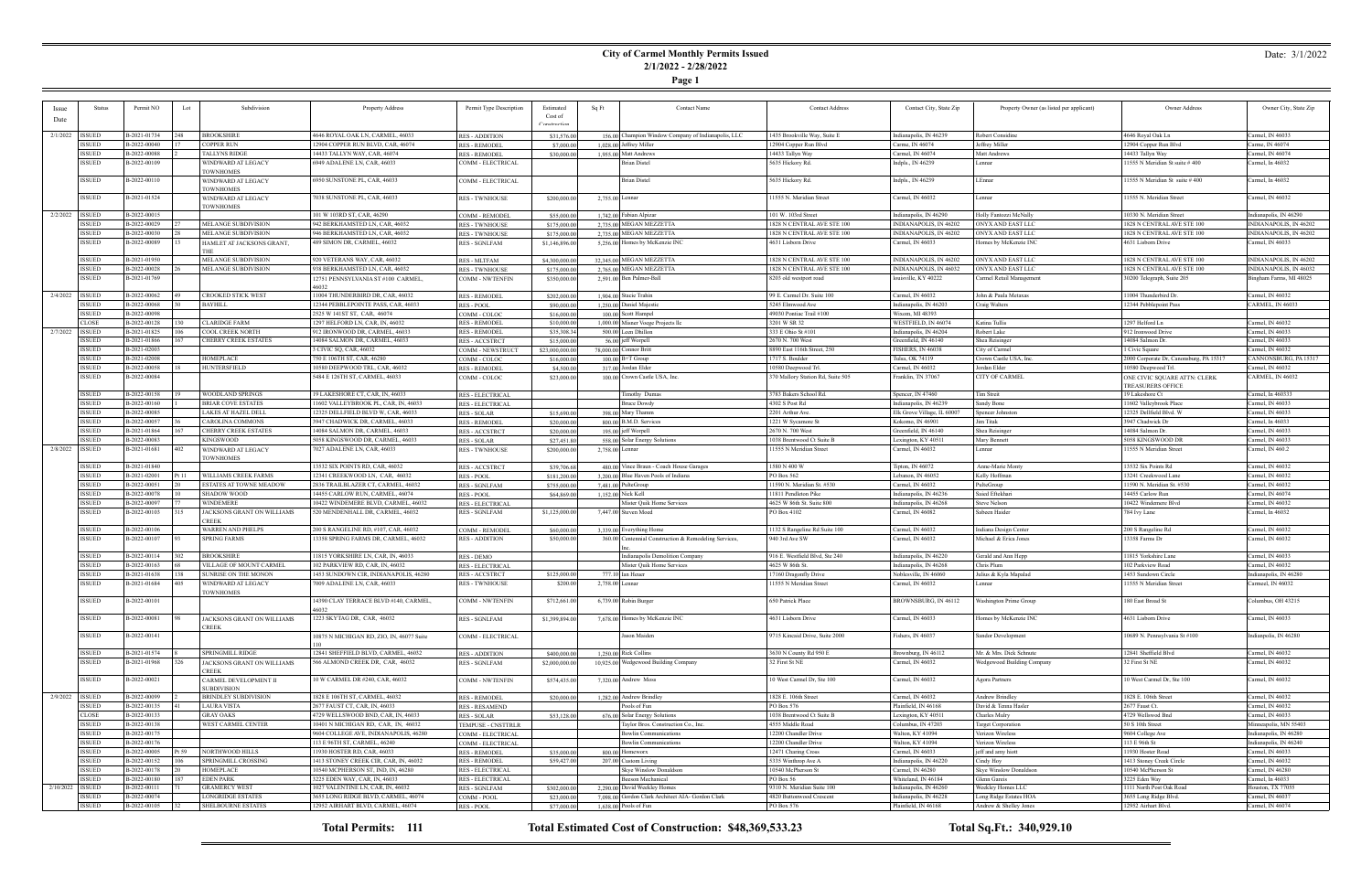### **City of Carmel Monthly Permits Issued 2/1/2022 - 2/28/2022**

**Page 1**

| <b>Issue</b> | <b>Status</b>               | Permit NO                    | Lot               | Subdivision                            | Property Address                          | Permit Type Description | Estimated          | Sq Ft<br><b>Contact Name</b>                          | <b>Contact Address</b>            | Contact City, State Zip     | Property Owner (as listed per applicant) | Owner Address                           | Owner City, State Zip   |
|--------------|-----------------------------|------------------------------|-------------------|----------------------------------------|-------------------------------------------|-------------------------|--------------------|-------------------------------------------------------|-----------------------------------|-----------------------------|------------------------------------------|-----------------------------------------|-------------------------|
| Date         |                             |                              |                   |                                        |                                           |                         | Cost of            |                                                       |                                   |                             |                                          |                                         |                         |
|              |                             |                              |                   |                                        |                                           |                         | <b>Constructio</b> |                                                       |                                   |                             |                                          |                                         |                         |
|              | 2/1/2022   ISSUED           | B-2021-01734                 |                   | <b>BROOKSHIRE</b>                      | 4646 ROYAL OAK LN, CARMEL, 46033          | <b>RES - ADDITION</b>   | \$31,576.00        | 156.00 Champion Window Company of Indianapolis, LLC   | 435 Brookville Way, Suite E       | Indianapolis, IN 46239      | Robert Considine                         | 4646 Royal Oak Ln                       | Carmel, IN 46033        |
|              | ISSUED                      | B-2022-00040                 |                   | <b>COPPER RUN</b>                      | 12904 COPPER RUN BLVD, CAR, 46074         | <b>RES - REMODEL</b>    | \$7,000.00         | 1,028.00 Jeffrey Miller                               | 12904 Copper Run Blvd             | Carme, IN 46074             | Jeffrey Miller                           | 12904 Copper Run Blvd                   | Carme, IN 46074         |
|              | ISSUED                      | B-2022-00088                 |                   | <b>TALLYNS RIDGE</b>                   | 14433 TALLYN WAY, CAR, 46074              | <b>RES - REMODEL</b>    | \$30,000.00        | 1,955.00 Matt Andrews                                 | 14433 Tallyn Way                  | Carmel, IN 46074            | Matt Andrews                             | 14433 Tallyn Way                        | Carmel, IN 46074        |
|              | <b>ISSUED</b>               | B-2022-00109                 |                   | WINDWARD AT LEGACY                     | 6949 ADALENE LN, CAR, 46033               | COMM - ELECTRICAL       |                    | Brian Distel                                          | 5635 Hickory Rd.                  | Indpls., IN 46239           | Lennar                                   | 11555 N Meridian St suite #400          | Carmel, In 46032        |
|              |                             |                              |                   | <b>TOWNHOMES</b>                       |                                           |                         |                    |                                                       |                                   |                             |                                          |                                         |                         |
|              | ISSUED                      | B-2022-00110                 |                   | WINDWARD AT LEGACY                     | 6950 SUNSTONE PL, CAR, 46033              | COMM - ELECTRICAL       |                    | <b>Brian Distel</b>                                   | 5635 Hickory Rd.                  | Indpls., IN 46239           | LEnnar                                   | 11555 N Meridian St suite #400          | Carmel, In 46032        |
|              |                             |                              |                   | <b>TOWNHOMES</b>                       |                                           |                         |                    |                                                       |                                   |                             |                                          |                                         |                         |
|              | ISSUED                      | B-2021-01524                 |                   | WINDWARD AT LEGACY                     | 7038 SUNSTONE PL, CAR, 46033              | <b>RES - TWNHOUSE</b>   | \$200,000.00       | 2,755.00 Lennar                                       | 1555 N. Meridian Street           | Carmel, IN 46032            | Lennar                                   | 11555 N. Meridian Street                | Carmel, IN 46032        |
|              |                             |                              |                   | <b>TOWNHOMES</b>                       |                                           |                         |                    |                                                       |                                   |                             |                                          |                                         |                         |
| 2/2/2022     | <b>ISSUED</b>               | B-2022-00015                 |                   |                                        | 101 W 103RD ST, CAR, 46290                | <b>COMM - REMODEL</b>   | \$55,000.00        | 1.742.00 Fabian Alpizar                               | 101 W. 103rd Stree                | Indianapolis, IN 46290      | Holly Fantozzi McNally                   | 10330 N. Meridian Street                | Indianapolis, IN 46290  |
|              | ISSUED                      | B-2022-00029                 |                   | MELANGE SUBDIVISION                    | 942 BERKHAMSTED LN, CAR, 46032            | <b>RES - TWNHOUSE</b>   | \$175,000.00       | 2,735.00 MEGAN MEZZETTA                               | <b>828 N CENTRAL AVE STE 100</b>  | INDIANAPOLIS, IN 46202      | ONYX AND EAST LLC                        | 1828 N CENTRAL AVE STE 100              | INDIANAPOLIS, IN 46202  |
|              | <b>ISSUED</b>               | B-2022-00030                 |                   | MELANGE SUBDIVISION                    | 946 BERKHAMSTED LN, CAR, 46032            | <b>RES - TWNHOUSE</b>   | \$175,000.00       | 2.735.00 MEGAN MEZZETTA                               | 1828 N CENTRAL AVE STE 100        | INDIANAPOLIS, IN 46202      | ONYX AND EAST LLC                        | 1828 N CENTRAL AVE STE 100              | INDIANAPOLIS, IN 46202  |
|              | ISSUED                      | B-2022-00089                 |                   | HAMLET AT JACKSONS GRANT,              | 489 SIMON DR, CARMEL, 46032               | <b>RES - SGNLFAM</b>    | \$1,146,896.00     | 5,256.00 Homes by McKenzie INC                        | 4631 Lisborn Drive                | Carmel, IN 46033            | Homes by McKenzie INC                    | 4631 Lisborn Drive                      | Carmel, IN 46033        |
|              |                             |                              |                   |                                        |                                           |                         |                    |                                                       |                                   |                             |                                          |                                         |                         |
|              | ISSUED                      | B-2021-01950                 |                   | MELANGE SUBDIVISION                    | 920 VETERANS WAY, CAR, 46032              | <b>RES - MLTFAM</b>     | \$4,300,000.00     | 32,345.00 MEGAN MEZZETTA                              | 1828 N CENTRAL AVE STE 100        | INDIANAPOLIS, IN 46202      | ONYX AND EAST LLC                        | 1828 N CENTRAL AVE STE 100              | INDIANAPOLIS, IN 46202  |
|              | <b>ISSUED</b>               | B-2022-00028                 |                   | MELANGE SUBDIVISION                    | 938 BERKHAMSTED LN, CAR, 46032            | <b>RES - TWNHOUSE</b>   | \$175,000.00       | 2.765.00 MEGAN MEZZETTA                               | <b>828 N CENTRAL AVE STE 100</b>  | INDIANAPOLIS, IN 46032      | ONYX AND EAST LLC                        | 1828 N CENTRAL AVE STE 100              | NDIANAPOLIS, IN 46032   |
|              | ISSUED                      | B-2021-01769                 |                   |                                        | 12751 PENNSYLVANIA ST #100 CARMEL,        | <b>COMM - NWTENFIN</b>  | \$350,000.00       | 2,591.00 Ben Palmer-Ball                              | 8203 old westport road            | louisville, KY 40222        | Carmel Retail Management                 | 30200 Telegraph, Suite 205              | Bingham Farms, MI 48025 |
|              |                             |                              |                   |                                        |                                           |                         |                    |                                                       |                                   |                             |                                          |                                         |                         |
| 2/4/2022     | ISSUED                      | B-2022-00062                 |                   | <b>CROOKED STICK WEST</b>              | 11004 THUNDERBIRD DR, CAR, 46032          | <b>RES - REMODEL</b>    | \$202,000.00       | 1,904.00 Stacie Trahin                                | 99 E. Carmel Dr. Suite 100        | Carmel, IN 46032            | John & Paula Metaxas                     | 11004 Thunderbird Dr                    | Carmel, IN 46032        |
|              | ISSUED                      | B-2022-00068                 |                   | <b>BAYHILL</b>                         | 12344 PEBBLEPOINTE PASS, CAR, 46033       | RES - POOL              | \$90,000.00        | 1,250.00 Daniel Majestic                              | 5245 Elmwood Ave                  | Indianapolis, IN 46203      | Craig Walters                            | 12344 Pebblepoint Pass                  | CARMEL, IN 46033        |
|              | <b>ISSUED</b>               | B-2022-00098                 |                   |                                        | 2525 W 141ST ST, CAR, 46074               | COMM - COLOC            | \$16,000.00        | 100.00 Scott Hampel                                   | 49030 Pontiac Trail #100          | Wixom, MI 48393             |                                          |                                         |                         |
|              | CLOSE                       | B-2022-00128                 |                   | <b>CLARIDGE FARM</b>                   | 1297 HELFORD LN, CAR, IN, 46032           | <b>RES - REMODEI</b>    | \$10,000.00        | 1,000.00 Misner Voege Projects llc                    | 3201 W SR 32                      | WESTFIELD, IN 46074         | Katina Tullis                            | 1297 Helford Ln                         | Carmel, IN 46032        |
|              |                             |                              |                   |                                        |                                           |                         |                    |                                                       | 333 E Ohio St #101                |                             | Robert Lake                              | 912 Ironwood Drive                      |                         |
|              | 2/7/2022   ISSUED<br>ISSUED | B-2021-01825<br>B-2021-01866 |                   | COOL CREEK NORTH                       | 912 IRONWOOD DR, CARMEL, 46033            | <b>RES - REMODEL</b>    | \$35,308.34        | 500.00 Leen Dhillon                                   | 2670 N. 700 West                  | Indianapolis, IN 46204      |                                          |                                         | Carmel, IN 46033        |
|              |                             |                              |                   | CHERRY CREEK ESTATES                   | 14084 SALMON DR, CARMEL, 46033            | RES - ACCSTRCT          | \$15,000.00        | 56.00 jeff Worpell                                    |                                   | Greenfield, IN 46140        | Shea Reisinger                           | 14084 Salmon Dr.                        | Carmel, IN 46033        |
|              | ISSUED                      | B-2021-02003                 |                   |                                        | 3 CIVIC SQ, CAR, 46032                    | COMM - NEWSTRUCT        | \$23,000,000.00    | 78,000.00 Connor Britt                                | 8890 East 116th Street, 250       | FISHERS, IN 46038           | City of Carmel                           | 1 Civic Square                          | Carmel, IN 46032        |
|              | ISSUED                      | B-2021-02008                 |                   | HOMEPLACE                              | 750 E 106TH ST, CAR, 46280                | COMM - COLOC            | \$16,000.00        | $100.00$ B+T Group                                    | 717 S. Boulder                    | Tulsa, OK 74119             | Crown Castle USA, Inc                    | 2000 Corporate Dr, Canonsburg, PA 15317 | CANNONSBURG, PA 15317   |
|              | ISSUED                      | B-2022-00058                 |                   | <b>HUNTERSFIELD</b>                    | 10580 DEEPWOOD TRL, CAR, 46032            | <b>RES - REMODEL</b>    | \$4,500.00         | 317.00 Jordan Elder                                   | 0580 Deepwood Trl.                | Carmel, IN 46032            | Jordan Elder                             | 10580 Deepwood Trl.                     | Carmel, IN 46032        |
|              | <b>ISSUED</b>               | B-2022-00084                 |                   |                                        | 5484 E 126TH ST, CARMEL, 46033            | COMM - COLOC            | \$23,000.00        | 100.00 Crown Castle USA, Inc.                         | 370 Mallory Station Rd, Suite 505 | Franklin, TN 37067          | CITY OF CARMEL                           | ONE CIVIC SQUARE ATTN: CLERK            | CARMEL, IN 46032        |
|              |                             |                              |                   |                                        |                                           |                         |                    |                                                       |                                   |                             |                                          | TREASURERS OFFICE                       |                         |
|              | <b>ISSUED</b>               | B-2022-00158                 |                   | <b>WOODLAND SPRINGS</b>                | 19 LAKESHORE CT, CAR, IN, 46033           | <b>RES - ELECTRICAL</b> |                    | Timothy Dumas                                         | 3783 Bakers School Rd.            | Spencer, IN 47460           | Tim Streit                               | 19 Lakeshore Ct                         | Carmel, In 460333       |
|              | ISSUED                      | B-2022-00160                 |                   | <b>BRIAR COVE ESTATES</b>              | 11602 VALLEYBROOK PL, CAR, IN, 46033      | <b>RES - ELECTRICAL</b> |                    | <b>Bruce Dowdy</b>                                    | 4302 S Post Rd                    | Indianapolis, IN 46239      | Sandy Bone                               | 11602 Valleybrook Place                 | Carmel, IN 46033        |
|              | ISSUED                      | B-2022-00085                 |                   | <b>LAKES AT HAZEL DELL</b>             | 12325 DELLFIELD BLVD W, CAR, 46033        | RES - SOLAR             | \$15,690.00        | 398.00 Mary Thamm                                     | 2201 Arthur Ave.                  | Elk Grove Village, IL 60007 | Spencer Johnstor                         | 12325 Dellfield Blvd. W                 | Carmel, IN 46033        |
|              | <b>ISSUED</b>               | B-2022-00057                 |                   | CAROLINA COMMONS                       | 3947 CHADWICK DR, CARMEL, 46033           | <b>RES - REMODEL</b>    | \$20,000.00        | 800.00 B.M.D. Services                                | 221 W Sycamore St                 | Kokomo, IN 46901            | <b>Fim Titak</b>                         | 3947 Chadwick Dr                        | Carmel, In 46033        |
|              | <b>ISSUED</b>               | B-2021-01864                 |                   | CHERRY CREEK ESTATES                   | 14084 SALMON DR, CARMEL, 46033            | <b>RES-ACCSTRCT</b>     | \$20,000.00        | 195.00 jeff Worpell                                   | 2670 N. 700 West                  | Greenfield, IN 46140        | Shea Reisinger                           | 14084 Salmon Dr.                        | Carmel, IN 46033        |
|              | <b>ISSUED</b>               | B-2022-00083                 |                   | KINGSWOOD                              | 5058 KINGSWOOD DR, CARMEL, 46033          | RES - SOLAR             | \$27,451.80        | 558.00 Solar Energy Solutions                         | 1038 Brentwood Ct Suite E         | Lexington, KY 40511         | Mary Bennett                             | 5058 KINGSWOOD DR                       | Carmel, IN 46033        |
|              | 2/8/2022 ISSUED             | B-2021-01681                 | 402               | WINDWARD AT LEGACY                     | 7027 ADALENE LN, CAR, 46033               | <b>RES - TWNHOUSE</b>   | \$200,000.00       | 2,758.00 Lennar                                       | 1555 N Meridian Street            | Carmel, IN 46032            | Lennar                                   | 11555 N Meridian Street                 | Carmel, IN 460.2        |
|              |                             |                              |                   | <b>TOWNHOMES</b>                       |                                           |                         |                    |                                                       |                                   |                             |                                          |                                         |                         |
|              | ISSUED                      | B-2021-01840                 |                   |                                        | 13532 SIX POINTS RD, CAR, 46032           | <b>RES-ACCSTRCT</b>     | \$39,706.68        | 480.00 Vince Braun - Coach House Garages              | 1580 N 400 W                      | Tipton, IN $46072$          | Anne-Marie Monty                         | 13532 Six Points Rd                     | Carmel, IN 46032        |
|              | ISSUED                      | B-2021-02001                 | <sup>2</sup> t 11 | <b>WILLIAMS CREEK FARMS</b>            | 12341 CREEKWOOD LN, CAR, 46032            | RES - POOL              | \$181,200.00       | 3,200.00 Blue Haven Pools of Indiana                  | PO Box 562                        | Lebanon, IN 46052           | Kelly Hoffman                            | 13241 Creekwood Lane                    | Carmel, IN 46032        |
|              | <b>ISSUED</b>               | B-2022-00051                 |                   | ESTATES AT TOWNE MEADOW                | 2836 TRAILBLAZER CT, CARMEL, 46032        | <b>RES - SGNLFAM</b>    | \$755,000.00       | 7,481.00 PulteGroup                                   | 1590 N. Meridian St. #530         | Carmel, IN 46032            | PulteGroup                               | 11590 N. Meridian St. #530              | Carmel, IN 46032        |
|              | ISSUED                      | B-2022-00078                 |                   | <b>SHADOW WOOD</b>                     | 14455 CARLOW RUN, CARMEL, 46074           | <b>RES-POOL</b>         | \$64,869.00        | 1,152.00 Nick Kell                                    | 11811 Pendleton Pike              | Indianapolis, IN 46236      | Saied Eftekhari                          | 14455 Carlow Run                        | Carmel, IN 46074        |
|              | ISSUED                      | B-2022-00097                 |                   | <b>WINDEMERE</b>                       | 10422 WINDEMERE BLVD, CARMEL, 46032       | <b>RES - ELECTRICAL</b> |                    | Mister Quik Home Services                             | 4625 W 86th St. Suite 800         | Indianapolis, IN 46268      | Steve Nelson                             | 10422 Windemere Blvd                    | Carmel, IN 46032        |
|              | ISSUED                      | B-2022-00103                 |                   | JACKSONS GRANT ON WILLIAMS             | 520 MENDENHALL DR, CARMEL, 46032          | <b>RES - SGNLFAM</b>    | \$1,125,000.00     | 7,447.00 Steven Moed                                  | PO Box 4102                       | Carmel, IN 46082            | Sabeen Haider                            | 784 Ivy Lane                            | Carmel, In 46032        |
|              |                             |                              |                   | <b>CREEK</b>                           |                                           |                         |                    |                                                       |                                   |                             |                                          |                                         |                         |
|              | ISSUED                      | B-2022-00106                 |                   | <b>WARREN AND PHELPS</b>               | 200 S RANGELINE RD, #107, CAR, 46032      | <b>COMM - REMODEL</b>   | \$60,000.00        | 3,339.00 Everything Home                              | 1132 S Rangeline Rd Suite 100     | Carmel, IN 46032            | Indiana Design Center                    | 200 S Rangeline Rd                      | Carmel, IN 46032        |
|              | ISSUED                      | B-2022-00107                 |                   | <b>SPRING FARMS</b>                    | 13358 SPRING FARMS DR, CARMEL, 46032      | <b>RES - ADDITION</b>   | \$50,000.00        | 360.00 Centennial Construction & Remodeling Services, | 940 3rd Ave SW                    | Carmel, IN 46032            | Michael & Erica Jones                    | $13358$ Farms $\mathrm{Dr}$             | Carmel, IN 46032        |
|              |                             |                              |                   |                                        |                                           |                         |                    |                                                       |                                   |                             |                                          |                                         |                         |
|              | <b>ISSUED</b>               | B-2022-00114                 |                   | <b>BROOKSHIRE</b>                      | 11815 YORKSHIRE LN, CAR, IN, 46033        | RES - DEMO              |                    | Indianapolis Demolition Company                       | 916 E. Westfield Blvd, Ste 240    | Indianapolis, IN 46220      | Gerald and Ann Hepp                      | 11815 Yorkshire Lane                    | Carmel, IN 46033        |
|              | <b>ISSUED</b>               | B-2022-00163                 |                   | VILLAGE OF MOUNT CARMEL                | 102 PARKVIEW RD, CAR, IN, 46032           | <b>RES - ELECTRICAL</b> |                    | Mister Quik Home Services                             | 4625 W 86th St.                   | Indianapolis, IN 46268      | Chris Plum                               | 102 Parkview Road                       | Carmel, IN 46032        |
|              | ISSUED                      | B-2021-01638                 |                   | SUNRISE ON THE MONON                   | 1453 SUNDOWN CIR, INDIANAPOLIS, 46280     | <b>RES-ACCSTRCT</b>     | \$125,000.00       | 777.10 Ian Heuer                                      | 7160 Dragonfly Drive              | Noblesville, IN 46060       | Julius & Kyla Mapalad                    | 1453 Sundown Circle                     | Indianapolis, IN 46280  |
|              | <b>ISSUED</b>               | B-2021-01684                 | 405               |                                        | 7009 ADALENE LN, CAR, 46033               |                         |                    |                                                       | 1555 N Meridian Street            | Carmel, IN 46032            | Lennar                                   | 1555 N Meridian Street                  | Carmeel, IN 46032       |
|              |                             |                              |                   | WINDWARD AT LEGACY<br><b>TOWNHOMES</b> |                                           | <b>RES - TWNHOUSE</b>   | \$200.00           | 2,758.00 Lennar                                       |                                   |                             |                                          |                                         |                         |
|              | ISSUED                      | B-2022-00101                 |                   |                                        | 14390 CLAY TERRACE BLVD #140, CARMEL,     |                         |                    | 6,739.00 Robin Burger                                 | 650 Patrick Place                 | BROWNSBURG, IN 46112        | <b>Washington Prime Group</b>            | 180 East Broad St                       | Columbus, OH 43215      |
|              |                             |                              |                   |                                        | 46032                                     | <b>COMM - NWTENFIN</b>  | \$712,661.00       |                                                       |                                   |                             |                                          |                                         |                         |
|              | <b>ISSUED</b>               | B-2022-00081                 |                   | JACKSONS GRANT ON WILLIAMS             | 1223 SKYTAG DR, CAR, 46032                | <b>RES - SGNLFAM</b>    | \$1,399,894.00     | 7,678,00 Homes by McKenzie INC                        | 4631 Lisborn Drive                | Carmel, IN 46033            | Homes by McKenzie INC                    | 4631 Lisborn Drive                      | Carmel, IN 46033        |
|              |                             |                              |                   | CREEK                                  |                                           |                         |                    |                                                       |                                   |                             |                                          |                                         |                         |
|              | <b>ISSUED</b>               | B-2022-00141                 |                   |                                        | 10875 N MICHIGAN RD, ZIO, IN, 46077 Suite | COMM - ELECTRICAL       |                    | Jason Maiden                                          | 9715 Kincaid Drive, Suite 2000    | Fishers, IN 46037           | Sandor Development                       | 10689 N. Pennsylvania St #100           | Indianpolis, IN 46280   |
|              |                             |                              |                   |                                        |                                           |                         |                    |                                                       |                                   |                             |                                          |                                         |                         |
|              | ISSUED                      | B-2021-01574                 |                   | <b>SPRINGMILL RIDGE</b>                | 12841 SHEFFIELD BLVD, CARMEL, 46032       | <b>RES - ADDITION</b>   | \$400,000.00       | 1,250,00 Rick Collins                                 | 3630 N County Rd 950 E            | Brownburg, IN 46112         | Mr. & Mrs. Dick Schnute                  | 12841 Sheffield Blvd                    | Carmel, IN 46032        |
|              | <b>ISSUED</b>               |                              |                   |                                        |                                           |                         |                    |                                                       |                                   |                             |                                          |                                         |                         |
|              |                             | B-2021-01968                 |                   | JACKSONS GRANT ON WILLIAMS             | 566 ALMOND CREEK DR, CAR, 46032           | <b>RES - SGNLFAM</b>    | \$2,000,000,00     | 10,925.00 Wedgewood Building Company                  | 32 First St NE                    | Carmel, IN 46032            | Wedgewood Building Company               | 32 First St NE                          | Carmel, IN 46032        |
|              |                             |                              |                   | <b>CREEK</b>                           |                                           |                         |                    | 7,320.00 Andrew Moss                                  | 0 West Carmel Dr. Ste 100         |                             |                                          | 10 West Carmel Dr. Ste 100              |                         |
|              | <b>ISSUED</b>               | B-2022-00021                 |                   | CARMEL DEVELOPMENT II                  | 10 W CARMEL DR #240, CAR, 46032           | <b>COMM - NWTENFIN</b>  | \$574,435.00       |                                                       |                                   | Carmel, IN 46032            | <b>Agora Partners</b>                    |                                         | Carmel, IN 46032        |
|              |                             |                              |                   | <b>SUBDIVISION</b>                     |                                           |                         |                    |                                                       |                                   |                             |                                          |                                         |                         |
| 2/9/2022     | <b>ISSUED</b>               | B-2022-00099                 |                   | <b>BRINDLEY SUBDIVISION</b>            | 1828 E 106TH ST, CARMEL, 46032            | <b>RES - REMODEL</b>    | \$20,000.00        | 1,282.00 Andrew Brindley                              | 1828 E. 106th Street              | Carmel, IN 46032            | Andrew Brindley                          | 1828 E. 106th Street                    | Carmel, IN 46032        |
|              | <b>ISSUED</b>               | B-2022-00135                 |                   | <b>LAURA VISTA</b>                     | 2677 FAUST CT, CAR, IN, 46033             | <b>RES - RESAMEND</b>   |                    | Pools of Fun                                          | PO Box 576                        | Plainfield, IN 46168        | David & Tenna Hasler                     | 2677 Faust Ct.                          | Carmel, IN 46032        |
|              | CLOSE                       | B-2022-00133                 |                   | <b>GRAY OAKS</b>                       | 4729 WELLSWOOD BND, CAR, IN, 46033        | RES - SOLAR             | \$53,128.00        | 676.00 Solar Energy Solutions                         | 038 Brentwood Ct Suite B          | Lexington, KY 40511         | Charles Mulry                            | 4729 Wellswod Bnd                       | Carmel, IN 46033        |
|              | <b>ISSUED</b>               | B-2022-00138                 |                   | WEST CARMEL CENTER                     | 10401 N MICHIGAN RD, CAR, IN, 46032       | TEMPUSE - CNSTTRLR      |                    | Taylor Bros. Construction Co., Inc.                   | 4555 Middle Road                  | Columbus, IN 47203          | <b>Target Corporation</b>                | 50 S 10th Street                        | Minneapolis, MN 55403   |
|              | <b>ISSUED</b>               | B-2022-00175                 |                   |                                        | 9604 COLLEGE AVE, INDIANAPOLIS, 46280     | COMM - ELECTRICAL       |                    | <b>Bowlin Communications</b>                          | 2200 Chandler Drive               | Walton, KY 41094            | Verizon Wireless                         | 9604 College Ave                        | Indianapolis, IN 46280  |
|              | <b>ISSUED</b>               | B-2022-00176                 |                   |                                        | 113 E 96TH ST, CARMEL, 46240              | COMM - ELECTRICAL       |                    | <b>Bowlin Communications</b>                          | 2200 Chandler Drive               | Walton, KY 41094            | Verizon Wireless                         | 113 E 96th St                           | Indianapolis, IN 46240  |
|              | <b>ISSUED</b>               | B-2022-00005                 | 't 59             | NORTHWOOD HILLS                        | 11930 HOSTER RD, CAR, 46033               | <b>RES - REMODEL</b>    | \$35,000.00        | 800.00 Homeworx                                       | 12471 Charing Cross               | Carmel, IN 46033            | jeff and amy hiott                       | 11930 Hoster Road                       | Carmel, IN 46033        |
|              | <b>ISSUED</b>               | B-2022-00152                 |                   | SPRINGMILL CROSSING                    | 1413 STONEY CREEK CIR, CAR, IN, 46032     | <b>RES - REMODEL</b>    | \$59,427.00        | 207.00 Custom Living                                  | 5335 Winthrop Ave A               | Indianapolis, IN 46220      | Cindy Hoy                                | 1413 Stoney Creek Circle                | Carmel, IN 46032        |
|              | <b>ISSUED</b>               | B-2022-00178                 |                   | HOMEPLACE                              | 10540 MCPHERSON ST, IND, IN, 46280        | RES - ELECTRICAL        |                    | Skye Winslow Donaldson                                | 10540 McPherson St                | Carmel, IN 46280            | <b>Skye Winslow Donaldson</b>            | 10540 McPherson St                      | Carmel, IN 46280        |
|              | ISSUED                      | B-2022-00180                 |                   | <b>EDEN PARK</b>                       | 3225 EDEN WAY, CAR, IN, 46033             | <b>RES - ELECTRICAL</b> |                    | Beeson Mechanical                                     | PO Box 56                         | Whiteland, IN 46184         | Glenn Gareis                             | 3225 Eden Way                           | Carmel, In 46033        |
| 2/10/2022    | <b>ISSUED</b>               | B-2022-00111                 |                   | <b>GRAMERCY WEST</b>                   | 1027 VALENTINE LN, CAR, IN, 46032         | <b>RES - SGNLFAM</b>    | \$302,000.00       | 2.290.00 David Weekley Homes                          | 9310 N. Meridian Suite 100        | Indianapolis, IN 46260      | Weekley Homes LLC                        | 1111 North Post Oak Road                | Houston, TX 77055       |
|              | ISSUED                      | B-2022-00074                 |                   | <b>LONGRIDGE ESTATES</b>               | 3655 LONG RIDGE BLVD, CARMEL, 46074       | COMM - POOL             | \$23,000.00        | 7,098.00 Gordon Clark Architect AIA- Gordon Clark     | 4820 Buttonwood Crescent          | Indianapolis, IN 46228      | Long Ridge Estates HOA                   | 3655 Long Ridge Blvd.                   | Carmel, IN 46037        |
|              | ISSUED                      | B-2022-00105                 |                   | SHELBOURNE ESTATES                     | 12952 AIRHART BLVD, CARMEL, 46074         | RES - POOL              | \$77,000.00        | 1,638.00 Pools of Fun                                 | PO Box 576                        | Plainfield, IN 46168        | Andrew & Shelley Jones                   | 12952 Airhart Blvd.                     | Carmel, IN 46074        |
|              |                             |                              |                   |                                        |                                           |                         |                    |                                                       |                                   |                             |                                          |                                         |                         |

**Total Permits: 111 Total Estimated Cost of Construction: \$48,369,533.23 Total Sq.Ft.: 340,929.10**